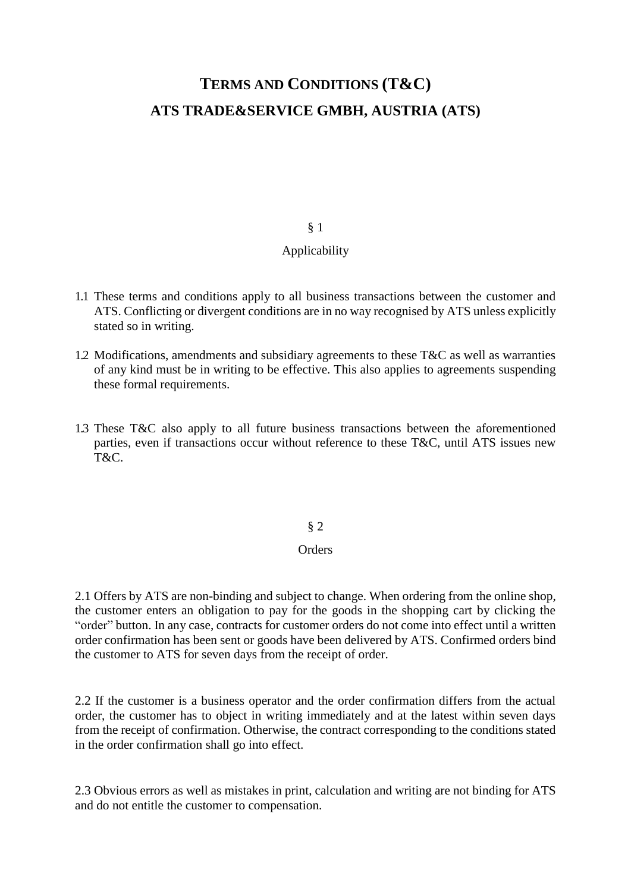# **TERMS AND CONDITIONS (T&C) ATS TRADE&SERVICE GMBH, AUSTRIA (ATS)**

#### § 1

#### Applicability

- 1.1 These terms and conditions apply to all business transactions between the customer and ATS. Conflicting or divergent conditions are in no way recognised by ATS unless explicitly stated so in writing.
- 1.2 Modifications, amendments and subsidiary agreements to these T&C as well as warranties of any kind must be in writing to be effective. This also applies to agreements suspending these formal requirements.
- 1.3 These T&C also apply to all future business transactions between the aforementioned parties, even if transactions occur without reference to these T&C, until ATS issues new T&C.

§ 2

#### **Orders**

2.1 Offers by ATS are non-binding and subject to change. When ordering from the online shop, the customer enters an obligation to pay for the goods in the shopping cart by clicking the "order" button. In any case, contracts for customer orders do not come into effect until a written order confirmation has been sent or goods have been delivered by ATS. Confirmed orders bind the customer to ATS for seven days from the receipt of order.

2.2 If the customer is a business operator and the order confirmation differs from the actual order, the customer has to object in writing immediately and at the latest within seven days from the receipt of confirmation. Otherwise, the contract corresponding to the conditions stated in the order confirmation shall go into effect.

2.3 Obvious errors as well as mistakes in print, calculation and writing are not binding for ATS and do not entitle the customer to compensation.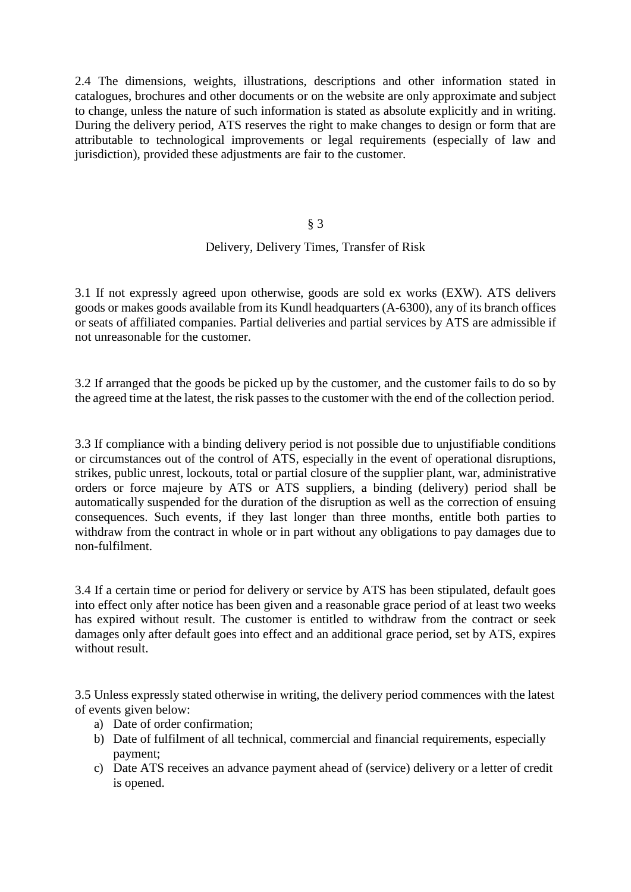2.4 The dimensions, weights, illustrations, descriptions and other information stated in catalogues, brochures and other documents or on the website are only approximate and subject to change, unless the nature of such information is stated as absolute explicitly and in writing. During the delivery period, ATS reserves the right to make changes to design or form that are attributable to technological improvements or legal requirements (especially of law and jurisdiction), provided these adjustments are fair to the customer.

§ 3

#### Delivery, Delivery Times, Transfer of Risk

3.1 If not expressly agreed upon otherwise, goods are sold ex works (EXW). ATS delivers goods or makes goods available from its Kundl headquarters (A-6300), any of its branch offices or seats of affiliated companies. Partial deliveries and partial services by ATS are admissible if not unreasonable for the customer.

3.2 If arranged that the goods be picked up by the customer, and the customer fails to do so by the agreed time at the latest, the risk passes to the customer with the end of the collection period.

3.3 If compliance with a binding delivery period is not possible due to unjustifiable conditions or circumstances out of the control of ATS, especially in the event of operational disruptions, strikes, public unrest, lockouts, total or partial closure of the supplier plant, war, administrative orders or force majeure by ATS or ATS suppliers, a binding (delivery) period shall be automatically suspended for the duration of the disruption as well as the correction of ensuing consequences. Such events, if they last longer than three months, entitle both parties to withdraw from the contract in whole or in part without any obligations to pay damages due to non-fulfilment.

3.4 If a certain time or period for delivery or service by ATS has been stipulated, default goes into effect only after notice has been given and a reasonable grace period of at least two weeks has expired without result. The customer is entitled to withdraw from the contract or seek damages only after default goes into effect and an additional grace period, set by ATS, expires without result.

3.5 Unless expressly stated otherwise in writing, the delivery period commences with the latest of events given below:

- a) Date of order confirmation;
- b) Date of fulfilment of all technical, commercial and financial requirements, especially payment;
- c) Date ATS receives an advance payment ahead of (service) delivery or a letter of credit is opened.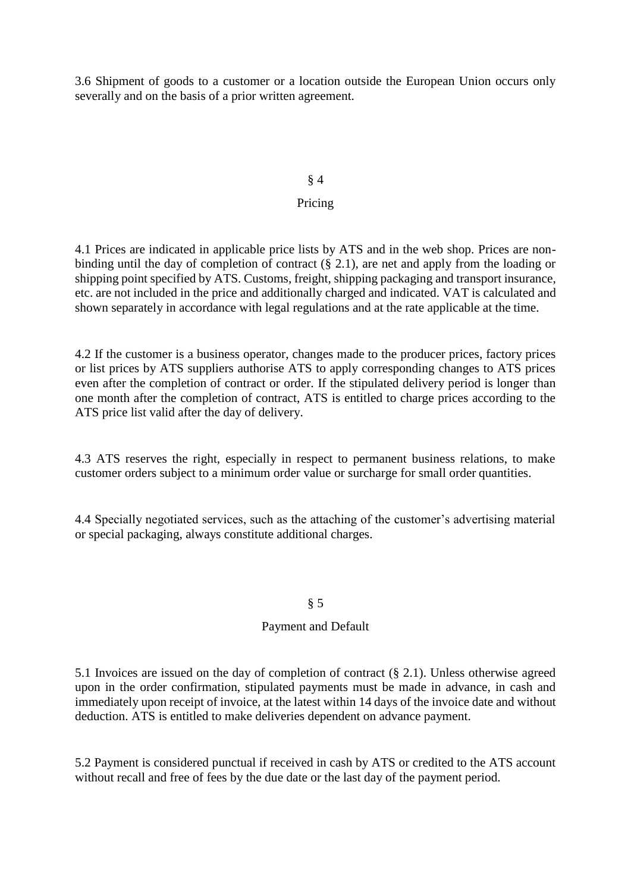3.6 Shipment of goods to a customer or a location outside the European Union occurs only severally and on the basis of a prior written agreement.

#### § 4

## Pricing

4.1 Prices are indicated in applicable price lists by ATS and in the web shop. Prices are nonbinding until the day of completion of contract (§ 2.1), are net and apply from the loading or shipping point specified by ATS. Customs, freight, shipping packaging and transport insurance, etc. are not included in the price and additionally charged and indicated. VAT is calculated and shown separately in accordance with legal regulations and at the rate applicable at the time.

4.2 If the customer is a business operator, changes made to the producer prices, factory prices or list prices by ATS suppliers authorise ATS to apply corresponding changes to ATS prices even after the completion of contract or order. If the stipulated delivery period is longer than one month after the completion of contract, ATS is entitled to charge prices according to the ATS price list valid after the day of delivery.

4.3 ATS reserves the right, especially in respect to permanent business relations, to make customer orders subject to a minimum order value or surcharge for small order quantities.

4.4 Specially negotiated services, such as the attaching of the customer's advertising material or special packaging, always constitute additional charges.

#### § 5

#### Payment and Default

5.1 Invoices are issued on the day of completion of contract (§ 2.1). Unless otherwise agreed upon in the order confirmation, stipulated payments must be made in advance, in cash and immediately upon receipt of invoice, at the latest within 14 days of the invoice date and without deduction. ATS is entitled to make deliveries dependent on advance payment.

5.2 Payment is considered punctual if received in cash by ATS or credited to the ATS account without recall and free of fees by the due date or the last day of the payment period.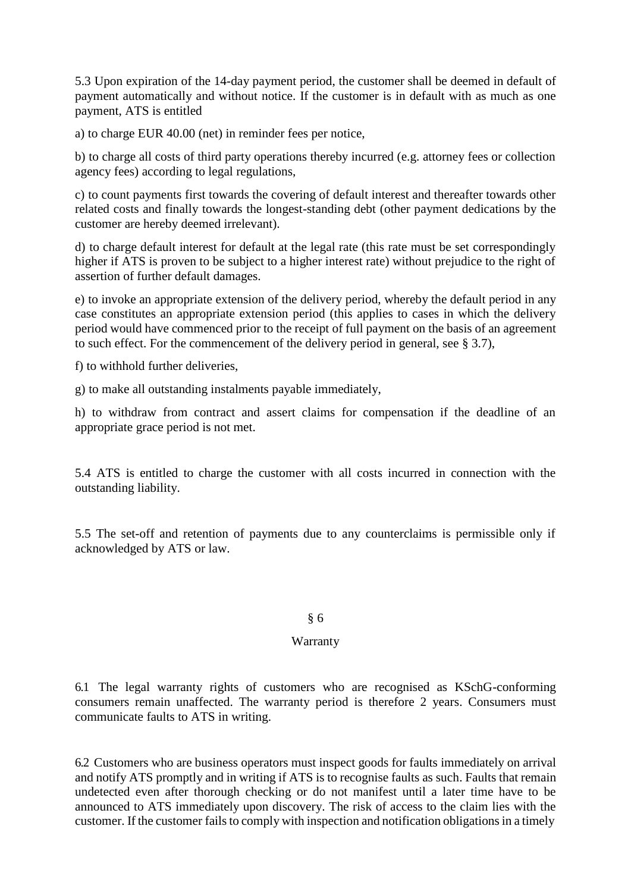5.3 Upon expiration of the 14-day payment period, the customer shall be deemed in default of payment automatically and without notice. If the customer is in default with as much as one payment, ATS is entitled

a) to charge EUR 40.00 (net) in reminder fees per notice,

b) to charge all costs of third party operations thereby incurred (e.g. attorney fees or collection agency fees) according to legal regulations,

c) to count payments first towards the covering of default interest and thereafter towards other related costs and finally towards the longest-standing debt (other payment dedications by the customer are hereby deemed irrelevant).

d) to charge default interest for default at the legal rate (this rate must be set correspondingly higher if ATS is proven to be subject to a higher interest rate) without prejudice to the right of assertion of further default damages.

e) to invoke an appropriate extension of the delivery period, whereby the default period in any case constitutes an appropriate extension period (this applies to cases in which the delivery period would have commenced prior to the receipt of full payment on the basis of an agreement to such effect. For the commencement of the delivery period in general, see § 3.7),

f) to withhold further deliveries,

g) to make all outstanding instalments payable immediately,

h) to withdraw from contract and assert claims for compensation if the deadline of an appropriate grace period is not met.

5.4 ATS is entitled to charge the customer with all costs incurred in connection with the outstanding liability.

5.5 The set-off and retention of payments due to any counterclaims is permissible only if acknowledged by ATS or law.

#### § 6

#### Warranty

6.1 The legal warranty rights of customers who are recognised as KSchG-conforming consumers remain unaffected. The warranty period is therefore 2 years. Consumers must communicate faults to ATS in writing.

6.2 Customers who are business operators must inspect goods for faults immediately on arrival and notify ATS promptly and in writing if ATS is to recognise faults as such. Faults that remain undetected even after thorough checking or do not manifest until a later time have to be announced to ATS immediately upon discovery. The risk of access to the claim lies with the customer. If the customer fails to comply with inspection and notification obligations in a timely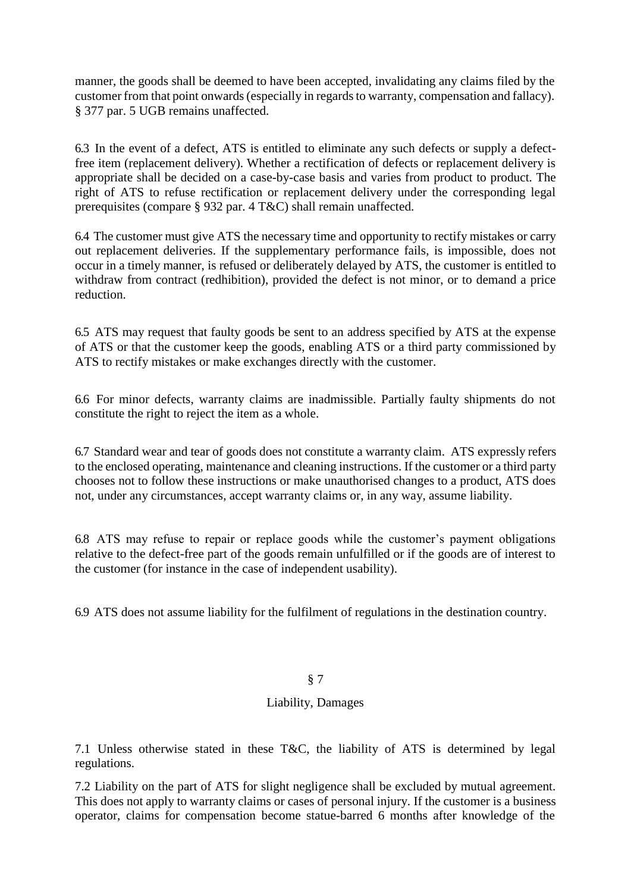manner, the goods shall be deemed to have been accepted, invalidating any claims filed by the customer from that point onwards (especially in regards to warranty, compensation and fallacy). § 377 par. 5 UGB remains unaffected.

6.3 In the event of a defect, ATS is entitled to eliminate any such defects or supply a defectfree item (replacement delivery). Whether a rectification of defects or replacement delivery is appropriate shall be decided on a case-by-case basis and varies from product to product. The right of ATS to refuse rectification or replacement delivery under the corresponding legal prerequisites (compare § 932 par. 4 T&C) shall remain unaffected.

6.4 The customer must give ATS the necessary time and opportunity to rectify mistakes or carry out replacement deliveries. If the supplementary performance fails, is impossible, does not occur in a timely manner, is refused or deliberately delayed by ATS, the customer is entitled to withdraw from contract (redhibition), provided the defect is not minor, or to demand a price reduction.

6.5 ATS may request that faulty goods be sent to an address specified by ATS at the expense of ATS or that the customer keep the goods, enabling ATS or a third party commissioned by ATS to rectify mistakes or make exchanges directly with the customer.

6.6 For minor defects, warranty claims are inadmissible. Partially faulty shipments do not constitute the right to reject the item as a whole.

6.7 Standard wear and tear of goods does not constitute a warranty claim. ATS expressly refers to the enclosed operating, maintenance and cleaning instructions. If the customer or a third party chooses not to follow these instructions or make unauthorised changes to a product, ATS does not, under any circumstances, accept warranty claims or, in any way, assume liability.

6.8 ATS may refuse to repair or replace goods while the customer's payment obligations relative to the defect-free part of the goods remain unfulfilled or if the goods are of interest to the customer (for instance in the case of independent usability).

6.9 ATS does not assume liability for the fulfilment of regulations in the destination country.

#### § 7

## Liability, Damages

7.1 Unless otherwise stated in these T&C, the liability of ATS is determined by legal regulations.

7.2 Liability on the part of ATS for slight negligence shall be excluded by mutual agreement. This does not apply to warranty claims or cases of personal injury. If the customer is a business operator, claims for compensation become statue-barred 6 months after knowledge of the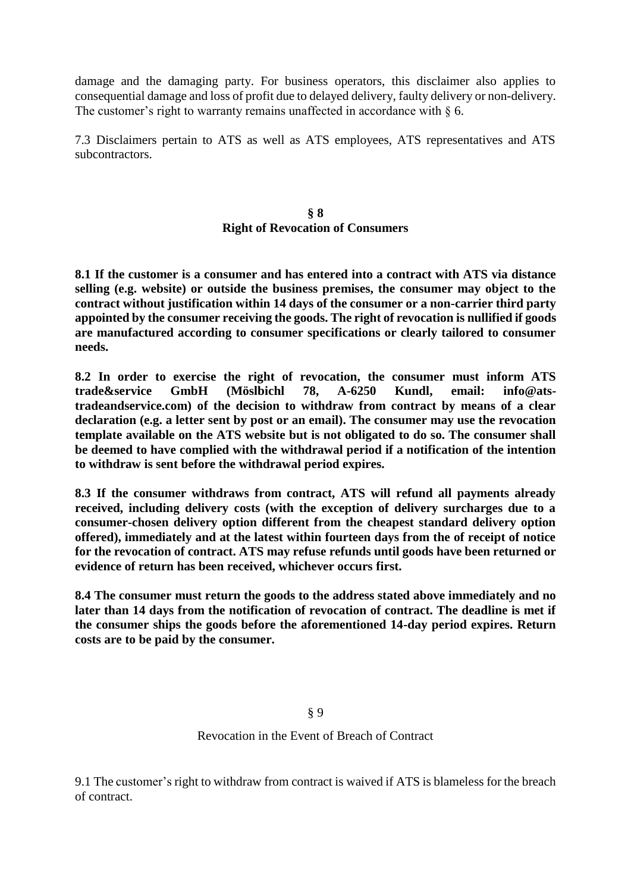damage and the damaging party. For business operators, this disclaimer also applies to consequential damage and loss of profit due to delayed delivery, faulty delivery or non-delivery. The customer's right to warranty remains unaffected in accordance with  $\S$  6.

7.3 Disclaimers pertain to ATS as well as ATS employees, ATS representatives and ATS subcontractors.

#### **§ 8 Right of Revocation of Consumers**

**8.1 If the customer is a consumer and has entered into a contract with ATS via distance selling (e.g. website) or outside the business premises, the consumer may object to the contract without justification within 14 days of the consumer or a non-carrier third party appointed by the consumer receiving the goods. The right of revocation is nullified if goods are manufactured according to consumer specifications or clearly tailored to consumer needs.**

**8.2 In order to exercise the right of revocation, the consumer must inform ATS trade&service GmbH (Möslbichl 78, A-6250 Kundl, email: info@atstradeandservice.com) of the decision to withdraw from contract by means of a clear declaration (e.g. a letter sent by post or an email). The consumer may use the revocation template available on the ATS website but is not obligated to do so. The consumer shall be deemed to have complied with the withdrawal period if a notification of the intention to withdraw is sent before the withdrawal period expires.**

**8.3 If the consumer withdraws from contract, ATS will refund all payments already received, including delivery costs (with the exception of delivery surcharges due to a consumer-chosen delivery option different from the cheapest standard delivery option offered), immediately and at the latest within fourteen days from the of receipt of notice for the revocation of contract. ATS may refuse refunds until goods have been returned or evidence of return has been received, whichever occurs first.**

**8.4 The consumer must return the goods to the address stated above immediately and no later than 14 days from the notification of revocation of contract. The deadline is met if the consumer ships the goods before the aforementioned 14-day period expires. Return costs are to be paid by the consumer.**

# § 9

Revocation in the Event of Breach of Contract

9.1 The customer's right to withdraw from contract is waived if ATS is blameless for the breach of contract.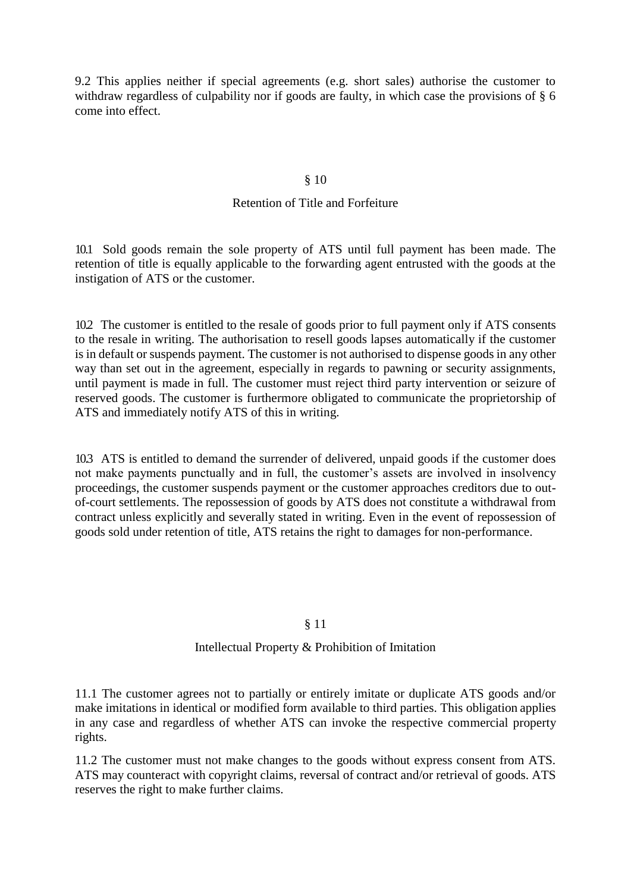9.2 This applies neither if special agreements (e.g. short sales) authorise the customer to withdraw regardless of culpability nor if goods are faulty, in which case the provisions of § 6 come into effect.

#### § 10

#### Retention of Title and Forfeiture

10.1 Sold goods remain the sole property of ATS until full payment has been made. The retention of title is equally applicable to the forwarding agent entrusted with the goods at the instigation of ATS or the customer.

10.2 The customer is entitled to the resale of goods prior to full payment only if ATS consents to the resale in writing. The authorisation to resell goods lapses automatically if the customer is in default or suspends payment. The customer is not authorised to dispense goods in any other way than set out in the agreement, especially in regards to pawning or security assignments, until payment is made in full. The customer must reject third party intervention or seizure of reserved goods. The customer is furthermore obligated to communicate the proprietorship of ATS and immediately notify ATS of this in writing.

10.3 ATS is entitled to demand the surrender of delivered, unpaid goods if the customer does not make payments punctually and in full, the customer's assets are involved in insolvency proceedings, the customer suspends payment or the customer approaches creditors due to outof-court settlements. The repossession of goods by ATS does not constitute a withdrawal from contract unless explicitly and severally stated in writing. Even in the event of repossession of goods sold under retention of title, ATS retains the right to damages for non-performance.

#### § 11

#### Intellectual Property & Prohibition of Imitation

11.1 The customer agrees not to partially or entirely imitate or duplicate ATS goods and/or make imitations in identical or modified form available to third parties. This obligation applies in any case and regardless of whether ATS can invoke the respective commercial property rights.

11.2 The customer must not make changes to the goods without express consent from ATS. ATS may counteract with copyright claims, reversal of contract and/or retrieval of goods. ATS reserves the right to make further claims.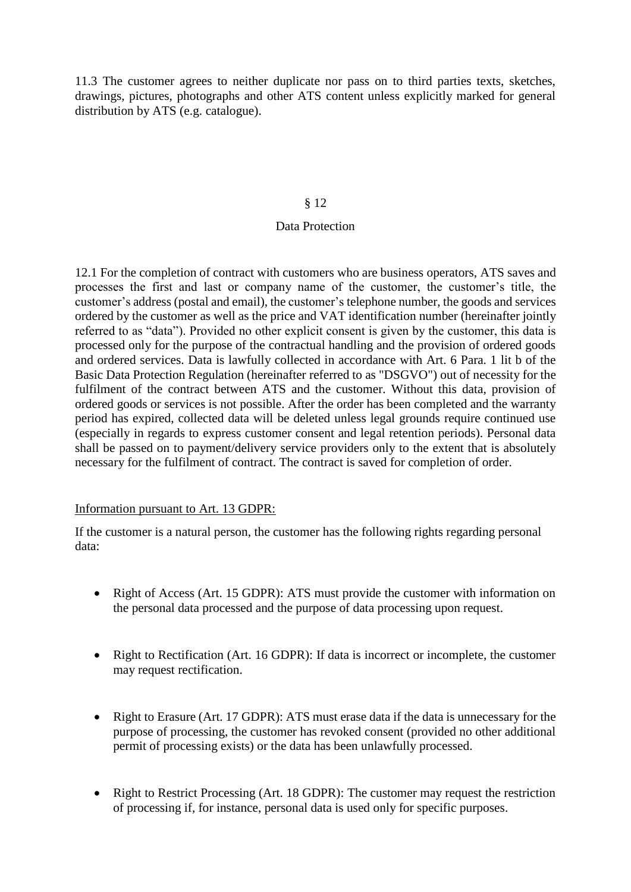11.3 The customer agrees to neither duplicate nor pass on to third parties texts, sketches, drawings, pictures, photographs and other ATS content unless explicitly marked for general distribution by ATS (e.g. catalogue).

#### § 12

#### Data Protection

12.1 For the completion of contract with customers who are business operators, ATS saves and processes the first and last or company name of the customer, the customer's title, the customer's address (postal and email), the customer's telephone number, the goods and services ordered by the customer as well as the price and VAT identification number (hereinafter jointly referred to as "data"). Provided no other explicit consent is given by the customer, this data is processed only for the purpose of the contractual handling and the provision of ordered goods and ordered services. Data is lawfully collected in accordance with Art. 6 Para. 1 lit b of the Basic Data Protection Regulation (hereinafter referred to as "DSGVO") out of necessity for the fulfilment of the contract between ATS and the customer. Without this data, provision of ordered goods or services is not possible. After the order has been completed and the warranty period has expired, collected data will be deleted unless legal grounds require continued use (especially in regards to express customer consent and legal retention periods). Personal data shall be passed on to payment/delivery service providers only to the extent that is absolutely necessary for the fulfilment of contract. The contract is saved for completion of order.

#### Information pursuant to Art. 13 GDPR:

If the customer is a natural person, the customer has the following rights regarding personal data:

- Right of Access (Art. 15 GDPR): ATS must provide the customer with information on the personal data processed and the purpose of data processing upon request.
- Right to Rectification (Art. 16 GDPR): If data is incorrect or incomplete, the customer may request rectification.
- Right to Erasure (Art. 17 GDPR): ATS must erase data if the data is unnecessary for the purpose of processing, the customer has revoked consent (provided no other additional permit of processing exists) or the data has been unlawfully processed.
- Right to Restrict Processing (Art. 18 GDPR): The customer may request the restriction of processing if, for instance, personal data is used only for specific purposes.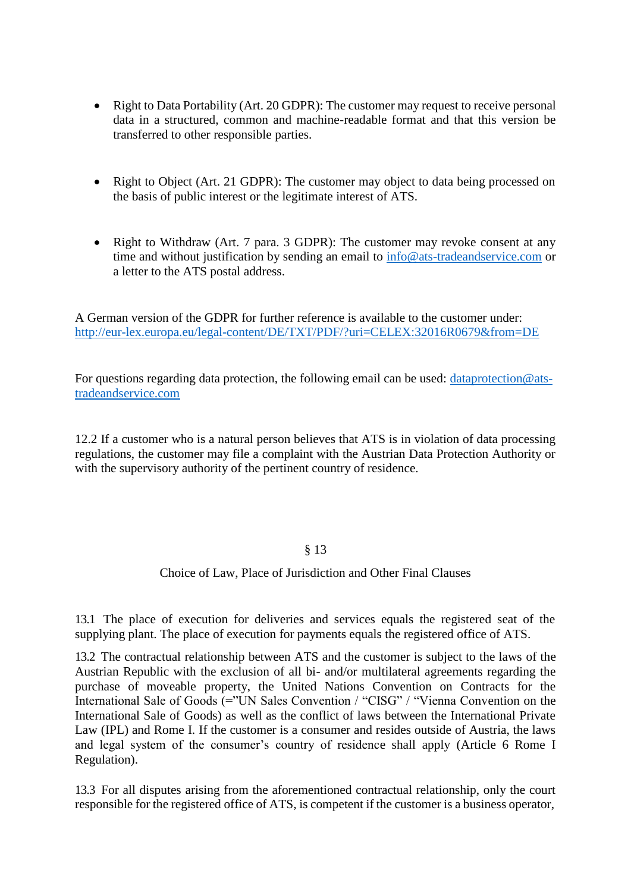- Right to Data Portability (Art. 20 GDPR): The customer may request to receive personal data in a structured, common and machine-readable format and that this version be transferred to other responsible parties.
- Right to Object (Art. 21 GDPR): The customer may object to data being processed on the basis of public interest or the legitimate interest of ATS.
- Right to Withdraw (Art. 7 para. 3 GDPR): The customer may revoke consent at any time and without justification by sending an email to [info@ats-tradeandservice.com](mailto:info@ats-tradeandservice.com) or a letter to the ATS postal address.

A German version of the GDPR for further reference is available to the customer under: [http://eur-lex.europa.eu/legal-content/DE/TXT/PDF/?uri=CELEX:32016R0679&from=DE](http://eur-lex.europa.eu/legal-content/DE/TXT/PDF/?uri=CELEX%3A32016R0679&from=DE)

For questions regarding data protection, the following email can be used:  $\frac{1}{\text{dataprotein}}@$  ats[tradeandservice.com](mailto:dataprotection@ats-tradeandservice.com)

12.2 If a customer who is a natural person believes that ATS is in violation of data processing regulations, the customer may file a complaint with the Austrian Data Protection Authority or with the supervisory authority of the pertinent country of residence.

#### § 13

#### Choice of Law, Place of Jurisdiction and Other Final Clauses

13.1 The place of execution for deliveries and services equals the registered seat of the supplying plant. The place of execution for payments equals the registered office of ATS.

13.2 The contractual relationship between ATS and the customer is subject to the laws of the Austrian Republic with the exclusion of all bi- and/or multilateral agreements regarding the purchase of moveable property, the United Nations Convention on Contracts for the International Sale of Goods (="UN Sales Convention / "CISG" / "Vienna Convention on the International Sale of Goods) as well as the conflict of laws between the International Private Law (IPL) and Rome I. If the customer is a consumer and resides outside of Austria, the laws and legal system of the consumer's country of residence shall apply (Article 6 Rome I Regulation).

13.3 For all disputes arising from the aforementioned contractual relationship, only the court responsible for the registered office of ATS, is competent if the customer is a business operator,